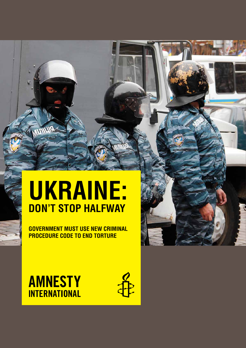# **Ukraine: Don't stop halfway**

**Government must use new Criminal Procedure Code to end torturE**

**AMNESTY INTERNATIONAL**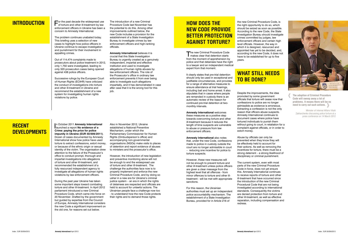For the past decade the widespread use of torture and other ill-treatment by law enforcement officers in Ukraine has been a concern to Amnesty International.

The problem continues unabated today. This briefing uses a selection of new cases to highlight how police officers in Ukraine continue to escape investigation and punishment for their involvement in appalling crimes.

Out of 114,474 complaints made to prosecutors about police treatment in 2012, only 1,750 were investigated, leading to only 320 prosecution cases being opened against 438 police officers.

Successive rulings by the European Court of Human Rights (ECtHR) have criticized the conduct of investigations into torture and other ill-treatment in Ukraine and recommend the establishment of a new system for investigating human rights violations by police.

The introduction of a new Criminal Procedure Code last November has the potential to do this. Among other improvements outlined below, the new Code includes a provision for the establishment of a State Investigation Bureau to investigate crimes by law enforcement officers and high-ranking officials.

In October 2011 **Amnesty Internation**<br>Iaunched a report **No evidence of a** n October 2011 **Amnesty International Crime: paying the price for police impunity in Ukraine (EUR 50/009/2011)**. Dozen of cases documented by Amnesty International show how police have used torture to extract confessions, extort money, or because of the ethnic origin or sexual identity of the victim. The organisation drew attention to the failure of the Prosecutor's office to conduct prompt, thorough and impartial investigations into allegations of torture and other ill-treatment, and recommended the establishment of a fully resourced independent agency to investigate all allegations of human rights violations by law enforcement officers.

**Amnesty International** believes it is crucial that this State Investigation Bureau is urgently created as a genuinely independent, impartial and effective institution and used to investigate allegations of human rights abuses by law enforcement officers. The role of the Prosecutor's office in ordinary law enforcement prevents it from ever being able to investigate such allegations impartially, and it has demonstrated in case after case that it is the wrong tool for this job.

The new Criminal Procedure Code<br>
makes clear that detention starts from the moment of apprehension by police and that detainees have the right to a lawyer and an independent medical expert from that moment.

During the past year Ukraine has taken some important steps toward combating torture and other ill-treatment. In April 2012 parliament introduced a new Criminal Procedure Code, which came into force on 20 November. Drafted by the government but guided by expertise from the Council of Europe, Amnesty International considers the new Code a significant improvement on the old one, for reasons set out below.

# **What still needs TO BE DONE?**

Also in November 2012, Ukraine established a National Preventive Mechanism, under which the Parliamentary Commissioner for Human Rights (Ombudsperson's office) and accompanying non-governmental organisations (NGOs) make visits to places of detention and report evidence of abuses to ministers and the prosecutor's office.

However, the introduction of new legislation and preventive monitoring alone will not be enough to end the widespread use of torture and other ill-treatment. The challenge the authorities face now is to properly implement and enforce the new Criminal Procedure Code, and by doing so usher in a new era for Ukraine's criminal justice system – an era in which the rights of detainees are respected and officials are held to account for unlawful actions. The Ukrainian people face a challenge now too - to understand how the new Code protects their rights and to demand those rights.

# **Recent DEVEL OPMENTS**

# **How does the new Code provide BETTER PROTECTION against torture?**

It clearly states that pre-trial detention should only be used in exceptional and justifiable circumstances, and provides for a range of alternative measures to ensure attendance at trial hearings, including bail and home arrest. It also stipulates that in cases where people are remanded in custody there is an automatic review of the reason for continued pre-trial detention at twomonthly intervals.

**Amnesty International** welcomes these measures as a positive step towards overcoming torture and other ill-treatment because it reduces the length of time suspects are vulnerable to abuse or pressure from law enforcement officers.

**Amnesty International** also notes that, under the new Code, confessions made to police in custody outside the court are no longer admissible in court – reducing one incentive for police to torture suspects.

However, these new measures will not be enough to prevent torture and other ill-treatment unless police officers are given a clear message from the highest level that all offences - from minor offences to torture and other illtreatment - will be met with appropriate sanctions.

For this reason, the Ukrainian authorities must set up an independent police accountability mechanism. The establishment of a State Investigation Bureau, provided for in Article 216 of

the new Criminal Procedure Code, is the right opportunity to do so, which should be seized as soon as possible. According to the new Code, the State Investigation Bureau should investigate crimes committed by judges, law enforcement officers and certain high level officials. However, the way in which it is designed, resourced and appointed has yet to be decided, and, according to the new Code, it does not have to be established for up to five years.

Despite the improvements, the idea promoted by some government officials that torture will cease now that confessions to police are no longer admissible as evidence is erroneous. Extracting a confession is not the only reason that officers abuse suspects. Amnesty International continues to document cases where police have tortured individuals to punish them without going to court, in retaliation for a complaint against officials, or in order to extort money.

Abuse by officials can only be prevented when they know they will be effectively held to account for their actions. As well as removing the incentives for torture, there must be a strong deterrent – a strong likelihood of disciplinary or criminal punishment.

The current system, even with most parts of the new Criminal Procedure Code in force, does not yet ensure this. Amnesty International continues to receive reports of torture and other ill-treatment that have occurred since the introduction of the new Criminal Procedural Code that are not being investigated according to international standards. Consequently the victims are denied protection from torture and other ill-treatment, as well as effective reparation, including compensation and redress.

# **Introduction**

**The adoption of Criminal Procedure Code will sweep away a lot of problems. It means there will be no need to carry out such actions.**

Minister of Internal Affairs Vitalii Zakharchenko discussing police torture at a press conference on 14 March 2012

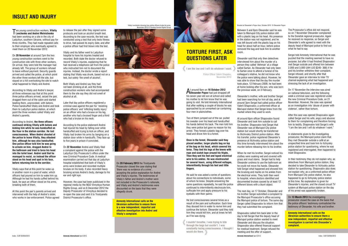

Police Officer Valerii Shapalov, November 2012

#### At around 9am on **16 October 2012 Olexander Popov** had just dropped off his seven year-old son at school and called his mother to let him know that he was going to visit. He told Amnesty International that after walking a couple of blocks he was approached by an unmarked car containing four men in plainclothes.

Two of them jumped out of the car, pulled his sweater over his head and handcuffed his hands behind his back. The men told him they were police but gave no reason for his arrest. They forced a plastic bag over his head and drove him to a forest.

**Once in the forest, Olexander said they placed another, larger plastic bag on top of the bag on his head, which covered his torso. They tied his legs at the knees with rope and scotch tape around his thighs. Then they wet his feet and taped electrical wire to his ankles. He was electrocuted for several hours, using different voltages, intermittently through his feet and little fingers.** 

He said he was asked a series of questions about his connections to individuals, some of whom he knew. Despite answering the same questions repeatedly, he said the police continued to intermittently electrocute him, suffocate him and apply pressure to his eyeballs with their palms.

He lost consciousness several times as a result of the pain and suffocation. Each time they doused him in water to revive him and continue the torture. Olexander said they told him they would kill him, and at times he felt as if he was dying.

**I couldn't breathe, I was trying to bite through the bags but couldn't. I was constantly losing consciousness. I thought I would die there.**

# **INSULT AND INJURY**

#### Two young construction workers, **Vitaliy Levchenko and Andrei Melnichenko**  had been working on a site in the city of Ladyzhyn, southern Ukraine, without pay for three months. They had made repeated calls to their employer who eventually agreed to meet them on 20 November 2012.

On **20 November** at around 7pm the two young construction workers went to the construction site with three other workers. On arrival, they were told the manager had already left. The group of workers refused to leave without payment. Security guards arrived and called the police, at which point the other three workers left the site, but stayed on a hill overlooking the site to watch what happened to Vitaliy and Andrei.

> Later that day police officers registered a criminal case against the pair for 'resisting police officers' and 'inflicting bodily injury' on an officer who had a bruise on his leg, another who had a bruised finger and a third who had a bruise on his neck.

> On **22 November** Andrei and Vitaliy filed a complaint against the police with the Ladyzhyn City Prosecutor's office under the new Criminal Procedure Code. A medical examination carried out that day at Ladyzhyn hospital established that both of Vitaliy's arms were broken and recorded multiple bruises on his body. It also recorded heavy bruising across Andrei's body, damage to his ear and right eve.

According to Vitaliy and Andrei's lawyer, all three witnesses say that at this point three police officers arrived, seized the pair, dragged them out of the cabin and started beating them, unprovoked, with batons. Police handcuffed Vitaliy and Andrei and took them to Ladyzhyn police station, at which point the three workers called Vitaliy and Andrei's parents.

According to Andrei, **the three officers continued striking Vitaliy with batons and kicking him while he was handcuffed on the floor in the station corridor. He lost consciousness. When Andrei shouted at the police to leave Vitaliy, they attacked him, although he was also handcuffed. One police officer told him he was going to urinate on him, dragged Andrei to the bathroom and tried to force his head into the toilet bowl. Andrei said that he managed to resist, so instead the officer stood on his head and spat in his face, before returning him to the corridor.**

Vitaliy says that at this point he woke up in another room in a pool of water, which officers had poured on him to wake him up. Although he had his hands cuffed behind his back, he says an officer stood on his arms, breaking both of them.

At this point the pair's parents arrived and intervened with the help of Andrei's sister, who works in law enforcement. Police agreed to release the pair after they signed some protocols and took an alcohol breath test. According to the case records, the test was conducted using a test that only tests fitness to drive, had passed its expiry date, and after a police officer had first blown into the test.

Vitaliy and his father went to Ladyzhyn hospital to have his injuries treated and recorded. Both state the doctor refused to record Vitaliy's injuries, explaining that he had received a telephone call from the police who instructed him not to document the injuries. Instead, the doctor wrote a report stating that Vitaliy was drunk, based not on a test, but solely 'the smell of alcohol'.

The Prosecutor's office did not respond, so on 7 November Olexander complained to the Donetsk regional prosecutor. Again he received no response, so Sergei and Olexander's wife agreed to meet with the deputy head of Mariupol police to find out what he had to say.

Both Vitaliy and Andrei say they had not been drinking at all, and the three construction workers who had accompanied them to the site say they did not smell of alcohol at all.

> In statements given to the investigating prosecutor, the Mariupol police claim that they met Olexander outside a caf $\check{\mu}$  at an unspecified time and took him to Ilchiyskiy police station for questioning, where he was registered and interrogated, then happened to meet Shapovalov.

According to the police statement Andrei had injured his head by falling over while handcuffed and trying to kick an officer, and Vitaliy had broken his arms by banging on a station door while in handcuffs. They face up to five years in prison if convicted.

However, the case had been publicised in the regional media by the NGO Vinnytsya Human Rights Group, and on 6 December 2012 the Deputy Prosecutor of Vinnytsya decided to re-open the case and sent it to Trostyanets District Prosecutor's office.

#### On **20 February 2013** the Trostyanets

Prosecutor closed the case stating that 'there was no evidence of a crime', accepting the police explanation for Andrei and Vitaliy's injuries. The testimonies of Vitaliy's father and Andrei's mother were not included in the Prosecutor's rationale, and Vitaliy and Andrei's testimonies were discounted on the basis that they were allegedly drunk.

**Amnesty International calls on the Ukrainian authorities to ensure there is a new independent, impartial and effective investigation into Andrei and Vitaliy's complaint.**

Between 5 and 6pm Olexander said he was taken to Mariupol City police station still with a plastic bag on his head. His presence in the station was not registered, and he was left bound with the plastic bag on his head for about half an hour, before police removed the bag and took him to another room.

Olexander said that only then detectives interviewed him about the murder of a person they called 'Akhman' at a village called Sartan. As Olexander had only been to Sartan once to attend a funeral of his colleague's relative, he did not know who the police were talking about. However, he was able to show that the day the murder took place, 12 February 2009, he had been at home looking after his son, who was born the previous week, on 3 February.

Olexander's mother, wife and brother Sergei had been searching for him all day, and at around 3pm Sergei had called police officer Valerii Shapovalov, a uniformed officer at Mariupol station that Sergei knew from the market where they used to work.

At around 6pm officer Shapovalov found Olexander and took him outside to call his brother. Shapovalov told Sergei that Olexander was at Mariupol City police station but would shortly be transferred to Illichivskiy District police station. After his transfer, police registered Olexander's presence at Illchivskiy police station and this time formally interviewed him about the murder before releasing him to his brother.

When he met his brother, Sergei noticed his clothes were soaking wet and covered with grass and mud stains. Sergei had to help Olexander undress to use the bathroom as he could not move his hands. Olexander told Sergei what happened and showed him the bruising and marks on his ankles from the electrical wires. They both then went to hospital, where doctors identified and documented bruises caused by at least 12 different blows with a blunt object.

The next day, on 17 October, Olexander and his brother Sergei submitted a complaint to the Mariupol Prosecutor's office accusing the Mariupol police of torture. The same day Sergei called Shapovalov to inform him that they had submitted the complaint.

Sergei told Amnesty International that he was puzzled that the meeting seemed to have no purpose, but after it had finished Shapovalov met Sergei outside and offered him between 2,000 and 3,000 UAH (US \$245- 368) if he and his brother withdrew their complaint. Sergei refused, and shortly after that Olexander gave an interview to Inter TV channel explaining what had happened and stressing the lack of an investigation.

On 17 November the interview was aired on national television, and the following week a criminal case was registered under the new Criminal Procedure Code, on 21 November. However, the case was opened as an investigation into 'abuse of power with violence', rather than torture.

After the case was opened Shapovalov again called Sergei and his wife, angry and abusive to them for complaining and therefore forcing him to testify. Shapovalov told Sergei's wife "I am the law and I will do whatever I want."

Shapovalov called him back later in the day to tell Sergei that the deputy head of Mariupol police station wanted to meet Olexander and discuss the situation. Shapovalov also offered financial support for medical treatment. Sergei refused the meeting and the offer of support. Index : EUR 50/004/2013 **Amnesty International** April 2013 **Amnesty International** April 2013 Index : EUR 50/004/2013

In their testimony they do not explain why, as detectives from Mariupol police station, they decided to take Olexander to Ilchiyskiy police station for questioning. Shapovalov also does not explain why, as a uniformed police officer from Mariupol City police station, he also happened to go to Ilchivisky police station at this time. No explanation is given for Olexander's injuries, and the closed circuit TV system at Mariupol police station on the day of his arrest was apparently broken.

On **13 March 2013** the investigating prosecutor closed the case on the basis that the police officers' testimony contradicted the testimony of Olexander, his wife and brother.

**Amnesty International calls on the Ukrainian authorities to ensure there a new independent, impartial and effective investigation is carried into Olexander's complaint.**









#### Bruises at Olexander's Popov face, October 2012 © Olexander Popov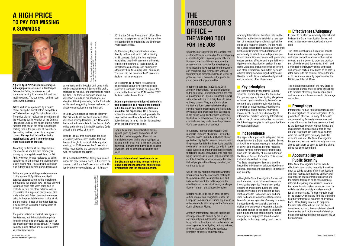Artem remained in hospital until June while medics treated several injuries to his brain, fractures to his skull, and attempted to repair his face. The forensic evidence shows no defensive wounds on his hands or arms despite all the injuries being on the front side of his head, suggesting he was restrained or

already unconscious during the attack.

In June, Artem returned home to discover that his family had not been informed of his detention or hospitalization. On 1 November he submitted a complaint to the Prosecutor's office under the old Criminal Procedure Code accusing the police of torture.

# **The Prosecutor's office – the wrong tool FOR THE JOB**

Despite the fact that his injuries had been extensively documented and the fact that he was brought to hospital while in police custody, on 15 November the Prosecutor's office responded to the complaint that there was 'no evidence of a crime'.

On **7 December 2012** his family complained under the new Criminal Code, but received no answer at all from the Prosecutor's office. His family therefore complained on 14 January

> 3eraymovych-Magalyas, June 2012<br>2hda Martynenko (Artem's mother Artem G<br>© Nadea

Under the current system, the General Prosecutor's Office is responsible for investigating criminal allegations against police officers. However, in each of the cases above, the prosecutors responsible for investigating the allegations have not done so thoroughly, and each time have disregarded witness testimony and medical evidence in favour of police accounts, even where the police account does not appear credible.

In reports published in 2005 and 2011 Amnesty International has drawn attention to the conflict of interest inherent in the role of prosecutors in Ukraine. Prosecutors work with police officers on a daily basis to solve ordinary crimes. They are often in close contact and form personal relationships. For this reason prosecutors are reluctant to investigate and prosecute their colleagues in the police force. Furthermore, exposing the torture or ill-treatment of a suspect in a criminal case may undermine the prosecution's case against that suspect.

In Amnesty International's October 2011 report No Evidence of a Crime: Paying the Price for Police Impunity in Ukraine, the organisation highlighted several cases in which the prosecution failed to investigate credible evidence of torture in police custody, in some cases even collaborating with police officers to retaliate against individuals who reported being tortured. As a result, police officers feel confident that they can torture or otherwise ill-treat people without being punished, and continue to do so.

> Although the State Investigation Bureau will no doubt need to recruit some forensic and investigative expertise from former police officers or prosecutors during the initial stages, they should try to recruit as many staff as possible from other state and nonstate bodies to avoid undue influence from law enforcement agencies. One way to ensure independence is to establish a system of civilian oversight over investigators. Ideally, resources should be allocated to establish an in-house training programme for future investigators. Employees should also be subjected to thorough background checks.

One of the key recommendations Amnesty International has therefore been making to the government is to establish a new and independent institution able to promptly, effectively and impartially investigate allegations of human rights abuses by police.

Ukraine needs to do this in order to carry out its international obligations under the European Convention of Human Rights and in order to comply with rulings of the European Court of Human Rights.

Amnesty International believes that unless investigations into crimes by police are carried out by an independent investigative body, with no functional links to law enforcement agencies investigating ordinary crimes, the investigations will not be conducted promptly, effectively and impartially.

Amnesty International therefore calls on the Ukrainian authorities to establish a new system of investigating complaints against the police as a matter of priority. The provision for a State Investigation Bureau as envisioned by the new Criminal Procedural Code is an opportunity to establish an independent police accountability mechanism with powers to ensure prompt, effective and impartial investigations into allegations of serious human rights violations, including crimes of torture and other ill-treatment committed by police officers. Doing so would significantly assist Ukraine to fulfil its international obligation to end torture and other ill-treatment.

# **Key principles**

As recommended by the former Commissioner for Human Rights of the Council of Europe, any agency investigating allegations of human rights violations by law enforcement officers should comply with the five principles of independence, effectiveness, promptness, public scrutiny and victim involvement. Based on its knowledge of international practice, Amnesty International calls on the Ukrainian authorities to consider the following principles in setting up the State Investigation Bureau.

### **Independence**

It is especially important to safeguard the independence of the State Investigation Bureau as it will be investigating people in positions of power and influence. For this reason it should have no hierarchical or institutional links with the Ministry of Internal Affairs or the General Prosecutor's office. This should include independent funding. The State Investigation Bureau should be headed by individuals of acknowledged competence, expertise, independence, impartiality and integrity.

On 25 January they submitted an appeal directly to the court, which held a hearing on 28 January. During the hearing it was established that the Prosecutor's office had registered the parent's 7 December 2012 complaint as an enquiry, and had ignored altogether their 14 January 2013 complaint. The court did not question the Prosecutor's decision not to investigate.

# **A HIGH PRICE TO PAY FOR MISSING A SUMMONS**

On **18 April 2012 Artem Geraymovych-Magalyas** was detained in Simferopol, Crimea, for failing to answer a court summons relating to a stolen drill and two mobile phones. The summons had been sent to the wrong address.

Artem said he was punched by a police officer during his arrest before being taken to Zheleznodorozhnyi District police station. The police did not register his detention until the following day in violation of the Criminal Procedural Code. At the police station, Artem reported that one of the officers continued beating him in the presence of two others, demanding that he confess to a range of crimes. **He says that this officer took a metal hook and used it to tear his nose when he refused to confess.**

According to Artem, at this stage he lost consciousness and his next memory is waking up in hospital a week later, on 26 April. However, he was registered as being transferred to Simferopol pre-trial detention facility on 21 April, to a cell with a detainee who suffers from severe manic depression.

Police and guards at the pre-trial detention facility say on 24 April the mentally-ill detainee attacked Artem with a metal pipe, although do not explain how this was allowed to happen while both were being held in custody, or how the other detainee was in possession of a large and heavy metal pipe while in his cell. Artem does not remember being in the pre-trial detention facility at all, and the mental illness of the other detainee is so severe as to render him incapable of giving testimony.

The police initiated a criminal case against the detainee, but did not take fingerprints from the metal pipe or provide the court or the prosecutor with closed-circuit TV records from the police station and detention centre as potential evidence.

## **Effectiveness/Adequacy**

In order to be effective Amnesty International believes the State Investigation Bureau will need to adequately resourced and empowered.

The State Investigation Bureau will need to have immediate access to police premises and other relevant locations such as crime scenes, and the power to order the production of evidence and documents. It will need a mandate to interview victims, witnesses and accused parties. It will need to be able to refer matters to the criminal prosecutor and/ or to the internal security department of the Ministry of Internal Affairs.

The institutional budget of the new State Investigation Bureau must be large enough for it to function effectively on a national scale and salaries must be on a scale to discourage corruption.

### **Promptness**

International human rights standards call for the investigations of torture allegations to be prompt and effective. In many of the cases documented by Amnesty International and many of the cases that have been submitted to the European court of Human Rights, the investigation of allegations of torture and other ill-treatment has failed because they were not investigated promptly and vital evidence was lost. The State Investigation Bureau must ensure that its investigators are able to start work as soon as possible after a crime has been committed.

### **Accountability and Public Scrutiny**

If the State Investigation Bureau is to be effective in overcoming impunity it must be open to public scrutiny of the investigations and their results. It must keep publicly available records of all complaints received and the actions taken and must have adequate internal disciplinary mechanisms. Information about how to make a complaint must be widely available publicly and clear enough for all to understand. To ensure public trust in the system, victims and families should be kept fully informed of progress of investigations. While taking care not to prejudice the interests of the official who has been complained against, the complainant should be consulted and kept informed of developments throughout the determination of his or her complaint.

2013 to the Crimea Prosecutors' office. They received no response, so on 23 January they re-submitted the complaint to the Simferopol Prosecutor's office.

On **14 March 2013** Artem re-submitted his complaint about torture by police and received a response refusing to register the crime on the basis of the 15 November 2012 decision under the old Code.

**Artem is permanently disfigured and suffers from depression as a result of the damage to his brain and post-traumatic stress as a result of his experience.** He is currently in hospital and unable to speak properly. He says that he would be able to identify the police he says tortured him, but has not been given the opportunity to do so.

Even if he cannot, the explanation for his injuries given by police and guards at the detention centre suggests officers at the pre-trial detention facility were negligent by placing him in a cell with a mentally unstable individual, allowing that individual to possess a weapon, and allowing the assault to take place.

**Amnesty International therefore calls on the Ukrainian authorities to ensure there is a new independent, impartial and effective investigation into the assault on Artem.**





© Nadezhda Martynenko (Artem's mother)

Index : EUR 50/004/2013 **Amnesty International** April 2013